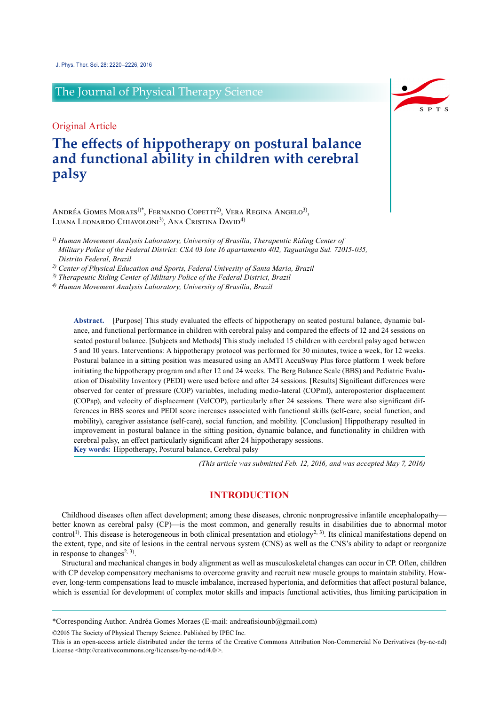# The Journal of Physical Therapy Science

## Original Article

# **The effects of hippotherapy on postural balance and functional ability in children with cerebral palsy**

ANDRÉA GOMES MORAES<sup>1)\*</sup>, FERNANDO COPETTI<sup>2)</sup>, VERA REGINA ANGELO<sup>3)</sup>, LUANA LEONARDO CHIAVOLONI<sup>3)</sup>, ANA CRISTINA DAVID<sup>4)</sup>

*1) Human Movement Analysis Laboratory, University of Brasilia, Therapeutic Riding Center of Military Police of the Federal District: CSA 03 lote 16 apartamento 402, Taguatinga Sul. 72015-035, Distrito Federal, Brazil*

*2) Center of Physical Education and Sports, Federal Univesity of Santa Maria, Brazil*

*3) Therapeutic Riding Center of Military Police of the Federal District, Brazil*

*4) Human Movement Analysis Laboratory, University of Brasilia, Brazil*

**Abstract.** [Purpose] This study evaluated the effects of hippotherapy on seated postural balance, dynamic balance, and functional performance in children with cerebral palsy and compared the effects of 12 and 24 sessions on seated postural balance. [Subjects and Methods] This study included 15 children with cerebral palsy aged between 5 and 10 years. Interventions: A hippotherapy protocol was performed for 30 minutes, twice a week, for 12 weeks. Postural balance in a sitting position was measured using an AMTI AccuSway Plus force platform 1 week before initiating the hippotherapy program and after 12 and 24 weeks. The Berg Balance Scale (BBS) and Pediatric Evaluation of Disability Inventory (PEDI) were used before and after 24 sessions. [Results] Significant differences were observed for center of pressure (COP) variables, including medio-lateral (COPml), anteroposterior displacement (COPap), and velocity of displacement (VelCOP), particularly after 24 sessions. There were also significant differences in BBS scores and PEDI score increases associated with functional skills (self-care, social function, and mobility), caregiver assistance (self-care), social function, and mobility. [Conclusion] Hippotherapy resulted in improvement in postural balance in the sitting position, dynamic balance, and functionality in children with cerebral palsy, an effect particularly significant after 24 hippotherapy sessions. **Key words:** Hippotherapy, Postural balance, Cerebral palsy

*(This article was submitted Feb. 12, 2016, and was accepted May 7, 2016)*

### **INTRODUCTION**

Childhood diseases often affect development; among these diseases, chronic nonprogressive infantile encephalopathy better known as cerebral palsy (CP)—is the most common, and generally results in disabilities due to abnormal motor control<sup>[1\)](#page-5-0)</sup>. This disease is heterogeneous in both clinical presentation and etiology<sup>2, 3)</sup>. Its clinical manifestations depend on the extent, type, and site of lesions in the central nervous system (CNS) as well as the CNS's ability to adapt or reorganize in response to changes<sup>2, 3)</sup>.

Structural and mechanical changes in body alignment as well as musculoskeletal changes can occur in CP. Often, children with CP develop compensatory mechanisms to overcome gravity and recruit new muscle groups to maintain stability. However, long-term compensations lead to muscle imbalance, increased hypertonia, and deformities that affect postural balance, which is essential for development of complex motor skills and impacts functional activities, thus limiting participation in

©2016 The Society of Physical Therapy Science. Published by IPEC Inc.



<sup>\*</sup>Corresponding Author. Andréa Gomes Moraes (E-mail: andreafisiounb@gmail.com)

This is an open-access article distributed under the terms of the Creative Commons Attribution Non-Commercial No Derivatives (by-nc-nd) License [<http://creativecommons.org/licenses/by-nc-nd/4.0/>](http://creativecommons.org/licenses/by-nc-nd/4.0/).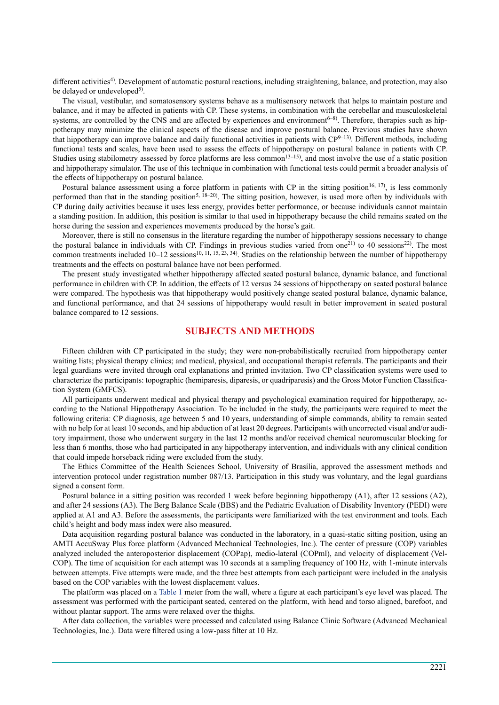different activities<sup>4)</sup>. Development of automatic postural reactions, including straightening, balance, and protection, may also be delayed or undeveloped<sup>5)</sup>.

The visual, vestibular, and somatosensory systems behave as a multisensory network that helps to maintain posture and balance, and it may be affected in patients with CP. These systems, in combination with the cerebellar and musculoskeletal systems, are controlled by the CNS and are affected by experiences and environment<sup>6-8)</sup>. Therefore, therapies such as hippotherapy may minimize the clinical aspects of the disease and improve postural balance. Previous studies have shown that hippotherapy can improve balance and daily functional activities in patients with  $CP^{9-13}$ . Different methods, including functional tests and scales, have been used to assess the effects of hippotherapy on postural balance in patients with CP. Studies using stabilometry assessed by force platforms are less common<sup>13–15</sup>), and most involve the use of a static position and hippotherapy simulator. The use of this technique in combination with functional tests could permit a broader analysis of the effects of hippotherapy on postural balance.

Postural balance assessment using a force platform in patients with CP in the sitting position<sup>16, 17</sup>, is less commonly performed than that in the standing position<sup>[5, 18–20](#page-5-2))</sup>. The sitting position, however, is used more often by individuals with CP during daily activities because it uses less energy, provides better performance, or because individuals cannot maintain a standing position. In addition, this position is similar to that used in hippotherapy because the child remains seated on the horse during the session and experiences movements produced by the horse's gait.

Moreover, there is still no consensus in the literature regarding the number of hippotherapy sessions necessary to change the postural balance in individuals with CP. Findings in previous studies varied from one<sup>21</sup> to 40 sessions<sup>22</sup>. The most common treatments included  $10-12$  sessions<sup>10, 11, 15, 23, 34)</sup>. Studies on the relationship between the number of hippotherapy treatments and the effects on postural balance have not been performed.

The present study investigated whether hippotherapy affected seated postural balance, dynamic balance, and functional performance in children with CP. In addition, the effects of 12 versus 24 sessions of hippotherapy on seated postural balance were compared. The hypothesis was that hippotherapy would positively change seated postural balance, dynamic balance, and functional performance, and that 24 sessions of hippotherapy would result in better improvement in seated postural balance compared to 12 sessions.

#### **SUBJECTS AND METHODS**

Fifteen children with CP participated in the study; they were non-probabilistically recruited from hippotherapy center waiting lists; physical therapy clinics; and medical, physical, and occupational therapist referrals. The participants and their legal guardians were invited through oral explanations and printed invitation. Two CP classification systems were used to characterize the participants: topographic (hemiparesis, diparesis, or quadriparesis) and the Gross Motor Function Classification System (GMFCS).

All participants underwent medical and physical therapy and psychological examination required for hippotherapy, according to the National Hippotherapy Association. To be included in the study, the participants were required to meet the following criteria: CP diagnosis, age between 5 and 10 years, understanding of simple commands, ability to remain seated with no help for at least 10 seconds, and hip abduction of at least 20 degrees. Participants with uncorrected visual and/or auditory impairment, those who underwent surgery in the last 12 months and/or received chemical neuromuscular blocking for less than 6 months, those who had participated in any hippotherapy intervention, and individuals with any clinical condition that could impede horseback riding were excluded from the study.

The Ethics Committee of the Health Sciences School, University of Brasília, approved the assessment methods and intervention protocol under registration number 087/13. Participation in this study was voluntary, and the legal guardians signed a consent form.

Postural balance in a sitting position was recorded 1 week before beginning hippotherapy (A1), after 12 sessions (A2), and after 24 sessions (A3). The Berg Balance Scale (BBS) and the Pediatric Evaluation of Disability Inventory (PEDI) were applied at A1 and A3. Before the assessments, the participants were familiarized with the test environment and tools. Each child's height and body mass index were also measured.

Data acquisition regarding postural balance was conducted in the laboratory, in a quasi-static sitting position, using an AMTI AccuSway Plus force platform (Advanced Mechanical Technologies, Inc.). The center of pressure (COP) variables analyzed included the anteroposterior displacement (COPap), medio-lateral (COPml), and velocity of displacement (Vel-COP). The time of acquisition for each attempt was 10 seconds at a sampling frequency of 100 Hz, with 1-minute intervals between attempts. Five attempts were made, and the three best attempts from each participant were included in the analysis based on the COP variables with the lowest displacement values.

The platform was placed on a Table 1 meter from the wall, where a figure at each participant's eye level was placed. The assessment was performed with the participant seated, centered on the platform, with head and torso aligned, barefoot, and without plantar support. The arms were relaxed over the thighs.

After data collection, the variables were processed and calculated using Balance Clinic Software (Advanced Mechanical Technologies, Inc.). Data were filtered using a low-pass filter at 10 Hz.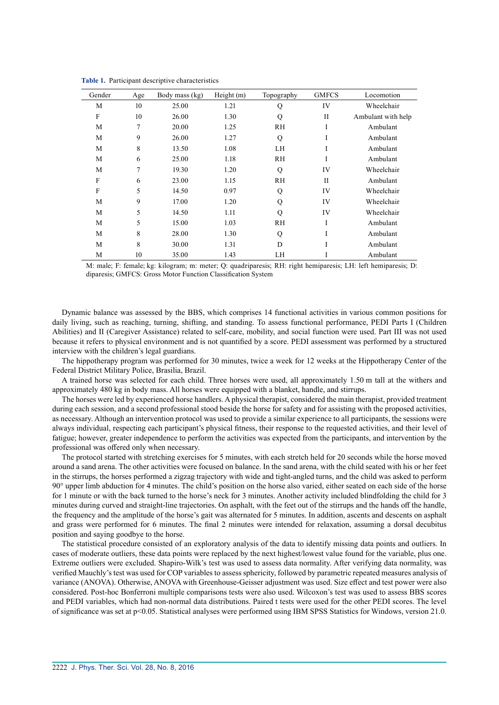| Gender | Age | Body mass (kg) | Height (m) | Topography | <b>GMFCS</b> | Locomotion         |
|--------|-----|----------------|------------|------------|--------------|--------------------|
| M      | 10  | 25.00          | 1.21       | Q          | IV           | Wheelchair         |
| F      | 10  | 26.00          | 1.30       | Q          | $_{\rm II}$  | Ambulant with help |
| M      | 7   | 20.00          | 1.25       | <b>RH</b>  | I            | Ambulant           |
| M      | 9   | 26.00          | 1.27       | Q          | I            | Ambulant           |
| M      | 8   | 13.50          | 1.08       | LH         | I            | Ambulant           |
| M      | 6   | 25.00          | 1.18       | <b>RH</b>  | I            | Ambulant           |
| M      | 7   | 19.30          | 1.20       | Q          | IV           | Wheelchair         |
| F      | 6   | 23.00          | 1.15       | <b>RH</b>  | $\mathbf{H}$ | Ambulant           |
| F      | 5   | 14.50          | 0.97       | Q          | IV           | Wheelchair         |
| M      | 9   | 17.00          | 1.20       | Q          | IV           | Wheelchair         |
| M      | 5   | 14.50          | 1.11       | Q          | IV           | Wheelchair         |
| M      | 5   | 15.00          | 1.03       | <b>RH</b>  | I            | Ambulant           |
| M      | 8   | 28.00          | 1.30       | Q          | I            | Ambulant           |
| M      | 8   | 30.00          | 1.31       | D          | I            | Ambulant           |
| M      | 10  | 35.00          | 1.43       | LH         |              | Ambulant           |

**Table 1.** Participant descriptive characteristics

M: male; F: female; kg: kilogram; m: meter; Q: quadriparesis; RH: right hemiparesis; LH: left hemiparesis; D: diparesis; GMFCS: Gross Motor Function Classification System

Dynamic balance was assessed by the BBS, which comprises 14 functional activities in various common positions for daily living, such as reaching, turning, shifting, and standing. To assess functional performance, PEDI Parts I (Children Abilities) and II (Caregiver Assistance) related to self-care, mobility, and social function were used. Part III was not used because it refers to physical environment and is not quantified by a score. PEDI assessment was performed by a structured interview with the children's legal guardians.

The hippotherapy program was performed for 30 minutes, twice a week for 12 weeks at the Hippotherapy Center of the Federal District Military Police, Brasilia, Brazil.

A trained horse was selected for each child. Three horses were used, all approximately 1.50 m tall at the withers and approximately 480 kg in body mass. All horses were equipped with a blanket, handle, and stirrups.

The horses were led by experienced horse handlers. A physical therapist, considered the main therapist, provided treatment during each session, and a second professional stood beside the horse for safety and for assisting with the proposed activities, as necessary. Although an intervention protocol was used to provide a similar experience to all participants, the sessions were always individual, respecting each participant's physical fitness, their response to the requested activities, and their level of fatigue; however, greater independence to perform the activities was expected from the participants, and intervention by the professional was offered only when necessary.

The protocol started with stretching exercises for 5 minutes, with each stretch held for 20 seconds while the horse moved around a sand arena. The other activities were focused on balance. In the sand arena, with the child seated with his or her feet in the stirrups, the horses performed a zigzag trajectory with wide and tight-angled turns, and the child was asked to perform 90° upper limb abduction for 4 minutes. The child's position on the horse also varied, either seated on each side of the horse for 1 minute or with the back turned to the horse's neck for 3 minutes. Another activity included blindfolding the child for 3 minutes during curved and straight-line trajectories. On asphalt, with the feet out of the stirrups and the hands off the handle, the frequency and the amplitude of the horse's gait was alternated for 5 minutes. In addition, ascents and descents on asphalt and grass were performed for 6 minutes. The final 2 minutes were intended for relaxation, assuming a dorsal decubitus position and saying goodbye to the horse.

The statistical procedure consisted of an exploratory analysis of the data to identify missing data points and outliers. In cases of moderate outliers, these data points were replaced by the next highest/lowest value found for the variable, plus one. Extreme outliers were excluded. Shapiro-Wilk's test was used to assess data normality. After verifying data normality, was verified Mauchly's test was used for COP variables to assess sphericity, followed by parametric repeated measures analysis of variance (ANOVA). Otherwise, ANOVA with Greenhouse-Geisser adjustment was used. Size effect and test power were also considered. Post-hoc Bonferroni multiple comparisons tests were also used. Wilcoxon's test was used to assess BBS scores and PEDI variables, which had non-normal data distributions. Paired t tests were used for the other PEDI scores. The level of significance was set at p<0.05. Statistical analyses were performed using IBM SPSS Statistics for Windows, version 21.0.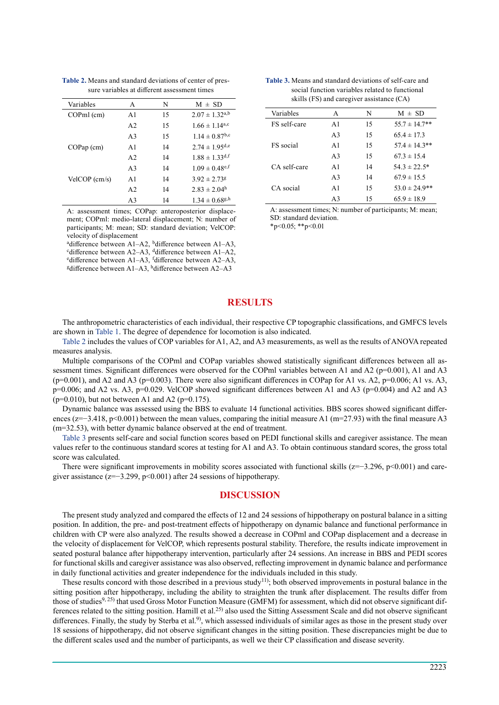| Variables             | A              | N  | $M \pm SD$                     |
|-----------------------|----------------|----|--------------------------------|
| $\mathbf{COPml}$ (cm) | A1             | 15 | $2.07 \pm 1.32^{a,b}$          |
|                       | A <sub>2</sub> | 15 | $1.66 \pm 1.14$ <sup>a,c</sup> |
|                       | A <sub>3</sub> | 15 | $1.14 \pm 0.87$ <sup>b,c</sup> |
| $COPap$ (cm)          | A <sub>1</sub> | 14 | $2.74 \pm 1.95^{d,e}$          |
|                       | A <sub>2</sub> | 14 | $1.88 \pm 1.33$ d, f           |
|                       | A <sub>3</sub> | 14 | $1.09 \pm 0.48$ <sup>e,f</sup> |
| $VelCOP$ (cm/s)       | A <sub>1</sub> | 14 | $3.92 \pm 2.73$ g              |
|                       | A <sub>2</sub> | 14 | $2.83 \pm 2.04^{\rm h}$        |
|                       | A <sub>3</sub> | 14 | $1.34 \pm 0.68$ g,h            |

**Table 2.** Means and standard deviations of center of pressure variables at different assessment times

A: assessment times; COPap: anteroposterior displacement; COPml: medio-lateral displacement; N: number of participants; M: mean; SD: standard deviation; VelCOP: velocity of displacement

<sup>a</sup>difference between A1–A2, <sup>b</sup>difference between A1–A3,

<sup>c</sup>difference between A2–A3, <sup>d</sup>difference between A1–A2,

edifference between  $A1-A3$ , fdifference between  $A2-A3$ ,

<sup>g</sup>difference between A1–A3, hdifference between A2–A3

| <b>Table 3.</b> Means and standard deviations of self-care and |
|----------------------------------------------------------------|
| social function variables related to functional                |
| skills (FS) and caregiver assistance (CA)                      |

| Variables        | A              | N  | $M \pm SD$         |
|------------------|----------------|----|--------------------|
| FS self-care     | A <sub>1</sub> | 15 | $55.7 \pm 14.7**$  |
|                  | A <sub>3</sub> | 15 | $65.4 \pm 17.3$    |
| <b>FS</b> social | A1             | 15 | $57.4 \pm 14.3$ ** |
|                  | A <sup>3</sup> | 15 | $67.3 \pm 15.4$    |
| CA self-care     | A <sub>1</sub> | 14 | $54.3 \pm 22.5^*$  |
|                  | A <sub>3</sub> | 14 | $67.9 \pm 15.5$    |
| CA social        | A1             | 15 | $53.0 \pm 24.9$ ** |
|                  | A <sup>3</sup> | 15 | $65.9 \pm 18.9$    |

A: assessment times; N: number of participants; M: mean; SD: standard deviation.  $*_{p<0.05;}$   $*_{p<0.01}$ 

### **RESULTS**

The anthropometric characteristics of each individual, their respective CP topographic classifications, and GMFCS levels are shown in Table 1. The degree of dependence for locomotion is also indicated.

Table 2 includes the values of COP variables for A1, A2, and A3 measurements, as well as the results of ANOVA repeated measures analysis.

Multiple comparisons of the COPml and COPap variables showed statistically significant differences between all assessment times. Significant differences were observed for the COPml variables between A1 and A2 ( $p=0.001$ ), A1 and A3  $(p=0.001)$ , and A2 and A3 ( $p=0.003$ ). There were also significant differences in COPap for A1 vs. A2,  $p=0.006$ ; A1 vs. A3, p=0.006; and A2 vs. A3, p=0.029. VelCOP showed significant differences between A1 and A3 (p=0.004) and A2 and A3  $(p=0.010)$ , but not between A1 and A2 ( $p=0.175$ ).

Dynamic balance was assessed using the BBS to evaluate 14 functional activities. BBS scores showed significant differences (z=−3.418, p<0.001) between the mean values, comparing the initial measure A1 (m=27.93) with the final measure A3 (m=32.53), with better dynamic balance observed at the end of treatment.

Table 3 presents self-care and social function scores based on PEDI functional skills and caregiver assistance. The mean values refer to the continuous standard scores at testing for A1 and A3. To obtain continuous standard scores, the gross total score was calculated.

There were significant improvements in mobility scores associated with functional skills (z=−3.296, p<0.001) and caregiver assistance ( $z=-3.299$ , p<0.001) after 24 sessions of hippotherapy.

#### **DISCUSSION**

The present study analyzed and compared the effects of 12 and 24 sessions of hippotherapy on postural balance in a sitting position. In addition, the pre- and post-treatment effects of hippotherapy on dynamic balance and functional performance in children with CP were also analyzed. The results showed a decrease in COPml and COPap displacement and a decrease in the velocity of displacement for VelCOP, which represents postural stability. Therefore, the results indicate improvement in seated postural balance after hippotherapy intervention, particularly after 24 sessions. An increase in BBS and PEDI scores for functional skills and caregiver assistance was also observed, reflecting improvement in dynamic balance and performance in daily functional activities and greater independence for the individuals included in this study.

These results concord with those described in a previous study<sup>[11](#page-5-10))</sup>; both observed improvements in postural balance in the sitting position after hippotherapy, including the ability to straighten the trunk after displacement. The results differ from those of studies<sup>[9, 25](#page-5-4)</sup>) that used Gross Motor Function Measure (GMFM) for assessment, which did not observe significant differences related to the sitting position. Hamill et al.<sup>25)</sup> also used the Sitting Assessment Scale and did not observe significant differences. Finally, the study by Sterba et al.<sup>[9\)](#page-5-4)</sup>, which assessed individuals of similar ages as those in the present study over 18 sessions of hippotherapy, did not observe significant changes in the sitting position. These discrepancies might be due to the different scales used and the number of participants, as well we their CP classification and disease severity.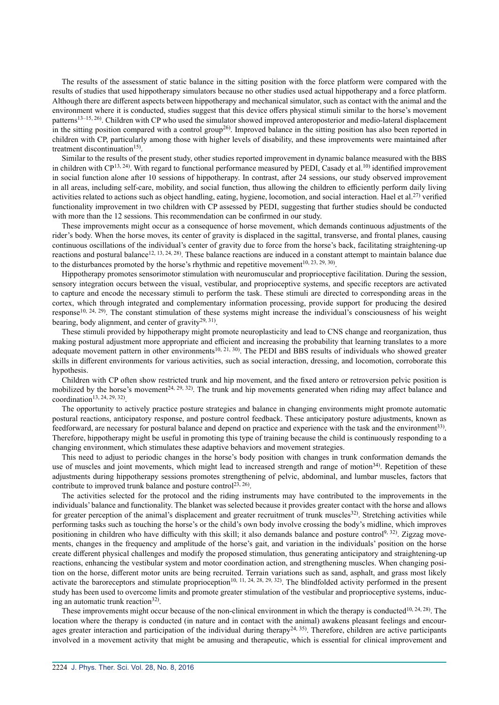The results of the assessment of static balance in the sitting position with the force platform were compared with the results of studies that used hippotherapy simulators because no other studies used actual hippotherapy and a force platform. Although there are different aspects between hippotherapy and mechanical simulator, such as contact with the animal and the environment where it is conducted, studies suggest that this device offers physical stimuli similar to the horse's movement patterns<sup>13–15, 26</sup>). Children with CP who used the simulator showed improved anteroposterior and medio-lateral displacement in the sitting position compared with a control group<sup>26</sup>. Improved balance in the sitting position has also been reported in children with CP, particularly among those with higher levels of disability, and these improvements were maintained after treatment discontinuation<sup>15)</sup>.

Similar to the results of the present study, other studies reported improvement in dynamic balance measured with the BBS in children with  $CP^{13, 24}$ . With regard to functional performance measured by PEDI, Casady et al.<sup>[10](#page-5-9)</sup> identified improvement in social function alone after 10 sessions of hippotherapy. In contrast, after 24 sessions, our study observed improvement in all areas, including self-care, mobility, and social function, thus allowing the children to efficiently perform daily living activities related to actions such as object handling, eating, hygiene, locomotion, and social interaction. Hael et al.<sup>[27](#page-6-2))</sup> verified functionality improvement in two children with CP assessed by PEDI, suggesting that further studies should be conducted with more than the 12 sessions. This recommendation can be confirmed in our study.

These improvements might occur as a consequence of horse movement, which demands continuous adjustments of the rider's body. When the horse moves, its center of gravity is displaced in the sagittal, transverse, and frontal planes, causing continuous oscillations of the individual's center of gravity due to force from the horse's back, facilitating straightening-up reactions and postural balance<sup>[12, 13, 24, 28](#page-5-12))</sup>. These balance reactions are induced in a constant attempt to maintain balance due to the disturbances promoted by the horse's rhythmic and repetitive movement<sup>10, 23, 29, 30</sup>).

Hippotherapy promotes sensorimotor stimulation with neuromuscular and proprioceptive facilitation. During the session, sensory integration occurs between the visual, vestibular, and proprioceptive systems, and specific receptors are activated to capture and encode the necessary stimuli to perform the task. These stimuli are directed to corresponding areas in the cortex, which through integrated and complementary information processing, provide support for producing the desired response<sup>[10, 24, 29](#page-5-9))</sup>. The constant stimulation of these systems might increase the individual's consciousness of his weight bearing, body alignment, and center of gravity<sup>[29, 31](#page-6-3)</sup>).

These stimuli provided by hippotherapy might promote neuroplasticity and lead to CNS change and reorganization, thus making postural adjustment more appropriate and efficient and increasing the probability that learning translates to a more adequate movement pattern in other environments<sup>10, 21, 30</sup>). The PEDI and BBS results of individuals who showed greater skills in different environments for various activities, such as social interaction, dressing, and locomotion, corroborate this hypothesis.

Children with CP often show restricted trunk and hip movement, and the fixed antero or retroversion pelvic position is mobilized by the horse's movement<sup>24, 29, 32</sup>). The trunk and hip movements generated when riding may affect balance and coordination<sup>13, 24, 29, 32</sup>).

The opportunity to actively practice posture strategies and balance in changing environments might promote automatic postural reactions, anticipatory response, and posture control feedback. These anticipatory posture adjustments, known as feedforward, are necessary for postural balance and depend on practice and experience with the task and the environment<sup>[33](#page-6-5)</sup>. Therefore, hippotherapy might be useful in promoting this type of training because the child is continuously responding to a changing environment, which stimulates these adaptive behaviors and movement strategies.

This need to adjust to periodic changes in the horse's body position with changes in trunk conformation demands the use of muscles and joint movements, which might lead to increased strength and range of motion<sup>[34](#page-6-6))</sup>. Repetition of these adjustments during hippotherapy sessions promotes strengthening of pelvic, abdominal, and lumbar muscles, factors that contribute to improved trunk balance and posture control<sup>[23, 26](#page-5-13)</sup>.

The activities selected for the protocol and the riding instruments may have contributed to the improvements in the individuals' balance and functionality. The blanket was selected because it provides greater contact with the horse and allows for greater perception of the animal's displacement and greater recruitment of trunk muscles $^{32}$  $^{32}$  $^{32}$ ). Stretching activities while performing tasks such as touching the horse's or the child's own body involve crossing the body's midline, which improves positioning in children who have difficulty with this skill; it also demands balance and posture control<sup>9, 32</sup>). Zigzag movements, changes in the frequency and amplitude of the horse's gait, and variation in the individuals' position on the horse create different physical challenges and modify the proposed stimulation, thus generating anticipatory and straightening-up reactions, enhancing the vestibular system and motor coordination action, and strengthening muscles. When changing position on the horse, different motor units are being recruited. Terrain variations such as sand, asphalt, and grass most likely activate the baroreceptors and stimulate proprioception<sup>10, 11, 24, 28, 29, 32)</sup>. The blindfolded activity performed in the present study has been used to overcome limits and promote greater stimulation of the vestibular and proprioceptive systems, induc-ing an automatic trunk reaction<sup>[32\)](#page-6-7)</sup>.

These improvements might occur because of the non-clinical environment in which the therapy is conducted<sup>[10, 24, 28](#page-5-9))</sup>. The location where the therapy is conducted (in nature and in contact with the animal) awakens pleasant feelings and encour-ages greater interaction and participation of the individual during therapy<sup>[24, 35](#page-6-4)</sup>). Therefore, children are active participants involved in a movement activity that might be amusing and therapeutic, which is essential for clinical improvement and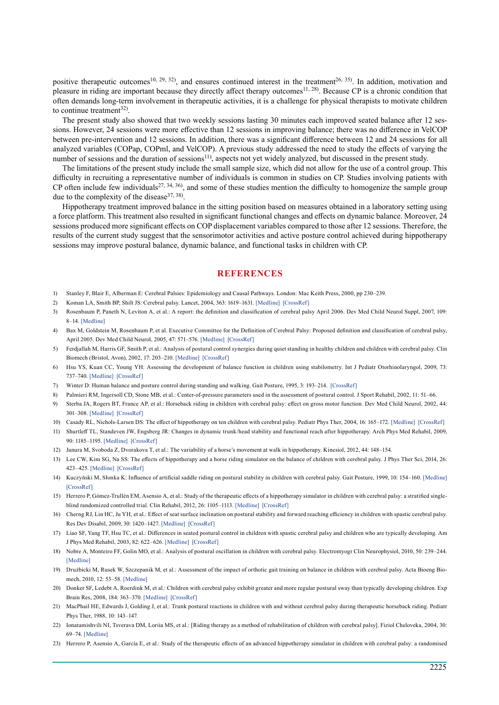positive therapeutic outcomes<sup>10, 29, 32</sup>, and ensures continued interest in the treatment<sup>26, 35</sup>). In addition, motivation and pleasure in riding are important because they directly affect therapy outcomes<sup>[11, 28](#page-5-10)</sup>). Because CP is a chronic condition that often demands long-term involvement in therapeutic activities, it is a challenge for physical therapists to motivate children to continue treatment<sup>[32](#page-6-7))</sup>.

The present study also showed that two weekly sessions lasting 30 minutes each improved seated balance after 12 sessions. However, 24 sessions were more effective than 12 sessions in improving balance; there was no difference in VelCOP between pre-intervention and 12 sessions. In addition, there was a significant difference between 12 and 24 sessions for all analyzed variables (COPap, COPml, and VelCOP). A previous study addressed the need to study the effects of varying the number of sessions and the duration of sessions<sup>[11](#page-5-10)</sup>), aspects not yet widely analyzed, but discussed in the present study.

The limitations of the present study include the small sample size, which did not allow for the use of a control group. This difficulty in recruiting a representative number of individuals is common in studies on CP. Studies involving patients with CP often include few individuals<sup>[27, 34, 36](#page-6-2)</sup>, and some of these studies mention the difficulty to homogenize the sample group due to the complexity of the disease<sup>[37, 38](#page-6-8)</sup>.

Hippotherapy treatment improved balance in the sitting position based on measures obtained in a laboratory setting using a force platform. This treatment also resulted in significant functional changes and effects on dynamic balance. Moreover, 24 sessions produced more significant effects on COP displacement variables compared to those after 12 sessions. Therefore, the results of the current study suggest that the sensorimotor activities and active posture control achieved during hippotherapy sessions may improve postural balance, dynamic balance, and functional tasks in children with CP.

#### **References**

- <span id="page-5-0"></span>1) Stanley F, Blair E, Alberman E: Cerebral Palsies: Epidemiology and Causal Pathways. London: Mac Keith Press, 2000, pp 230–239.
- <span id="page-5-1"></span>2) Koman LA, Smith BP, Shilt JS: Cerebral palsy. Lancet, 2004, 363: 1619–1631. [\[Medline\]](http://www.ncbi.nlm.nih.gov/pubmed/15145637?dopt=Abstract) [\[CrossRef\]](http://dx.doi.org/10.1016/S0140-6736(04)16207-7)
- 3) Rosenbaum P, Paneth N, Leviton A, et al.: A report: the definition and classification of cerebral palsy April 2006. Dev Med Child Neurol Suppl, 2007, 109: 8–14. [\[Medline\]](http://www.ncbi.nlm.nih.gov/pubmed/17370477?dopt=Abstract)
- 4) Bax M, Goldstein M, Rosenbaum P, et al. Executive Committee for the Definition of Cerebral Palsy: Proposed definition and classification of cerebral palsy, April 2005. Dev Med Child Neurol, 2005, 47: 571–576. [\[Medline\]](http://www.ncbi.nlm.nih.gov/pubmed/16108461?dopt=Abstract) [\[CrossRef\]](http://dx.doi.org/10.1017/S001216220500112X)
- <span id="page-5-2"></span>5) Ferdjallah M, Harris GF, Smith P, et al.: Analysis of postural control synergies during quiet standing in healthy children and children with cerebral palsy. Clin Biomech (Bristol, Avon), 2002, 17: 203–210. [\[Medline\]](http://www.ncbi.nlm.nih.gov/pubmed/11937258?dopt=Abstract) [\[CrossRef\]](http://dx.doi.org/10.1016/S0268-0033(01)00121-8)
- <span id="page-5-3"></span>6) Hsu YS, Kuan CC, Young YH: Assessing the development of balance function in children using stabilometry. Int J Pediatr Otorhinolaryngol, 2009, 73: 737–740. [\[Medline\]](http://www.ncbi.nlm.nih.gov/pubmed/19232750?dopt=Abstract) [\[CrossRef\]](http://dx.doi.org/10.1016/j.ijporl.2009.01.016)
- 7) Winter D: Human balance and posture control during standing and walking. Gait Posture, 1995, 3: 193–214. [\[CrossRef\]](http://dx.doi.org/10.1016/0966-6362(96)82849-9)
- 8) Palmieri RM, Ingersoll CD, Stone MB, et al.: Center-of-pressure parameters used in the assessment of postural control. J Sport Rehabil, 2002, 11: 51–66.
- <span id="page-5-4"></span>9) Sterba JA, Rogers BT, France AP, et al.: Horseback riding in children with cerebral palsy: effect on gross motor function. Dev Med Child Neurol, 2002, 44: 301–308. [\[Medline\]](http://www.ncbi.nlm.nih.gov/pubmed/12033715?dopt=Abstract) [\[CrossRef\]](http://dx.doi.org/10.1111/j.1469-8749.2002.tb00815.x)
- <span id="page-5-9"></span>10) Casady RL, Nichols-Larsen DS: The effect of hippotherapy on ten children with cerebral palsy. Pediatr Phys Ther, 2004, 16: 165–172. [\[Medline\]](http://www.ncbi.nlm.nih.gov/pubmed/17057544?dopt=Abstract) [\[CrossRef\]](http://dx.doi.org/10.1097/01.PEP.0000136003.15233.0C)
- <span id="page-5-10"></span>11) Shurtleff TL, Standeven JW, Engsberg JR: Changes in dynamic trunk/head stability and functional reach after hippotherapy. Arch Phys Med Rehabil, 2009, 90: 1185–1195. [\[Medline\]](http://www.ncbi.nlm.nih.gov/pubmed/19577032?dopt=Abstract) [\[CrossRef\]](http://dx.doi.org/10.1016/j.apmr.2009.01.026)
- <span id="page-5-12"></span>12) Janura M, Svoboda Z, Dvorakova T, et al.: The variability of a horse's movement at walk in hippotherapy. Kinesiol, 2012, 44: 148–154.
- <span id="page-5-5"></span>13) Lee CW, Kim SG, Na SS: The effects of hippotherapy and a horse riding simulator on the balance of children with cerebral palsy. J Phys Ther Sci, 2014, 26: 423–425. [\[Medline\]](http://www.ncbi.nlm.nih.gov/pubmed/24707098?dopt=Abstract) [\[CrossRef\]](http://dx.doi.org/10.1589/jpts.26.423)
- 14) Kuczyński M, Słonka K: Influence of artificial saddle riding on postural stability in children with cerebral palsy. Gait Posture, 1999, 10: 154–160. [\[Medline\]](http://www.ncbi.nlm.nih.gov/pubmed/10502649?dopt=Abstract) [\[CrossRef\]](http://dx.doi.org/10.1016/S0966-6362(99)00028-4)
- <span id="page-5-11"></span>15) Herrero P, Gómez-Trullén EM, Asensio A, et al.: Study of the therapeutic effects of a hippotherapy simulator in children with cerebral palsy: a stratified singleblind randomized controlled trial. Clin Rehabil, 2012, 26: 1105–1113. [\[Medline\]](http://www.ncbi.nlm.nih.gov/pubmed/22610128?dopt=Abstract) [\[CrossRef\]](http://dx.doi.org/10.1177/0269215512444633)
- <span id="page-5-6"></span>16) Cherng RJ, Lin HC, Ju YH, et al.: Effect of seat surface inclination on postural stability and forward reaching efficiency in children with spastic cerebral palsy. Res Dev Disabil, 2009, 30: 1420–1427. [\[Medline\]](http://www.ncbi.nlm.nih.gov/pubmed/19647395?dopt=Abstract) [\[CrossRef\]](http://dx.doi.org/10.1016/j.ridd.2009.07.002)
- 17) Liao SF, Yang TF, Hsu TC, et al.: Differences in seated postural control in children with spastic cerebral palsy and children who are typically developing. Am J Phys Med Rehabil, 2003, 82: 622–626. [\[Medline\]](http://www.ncbi.nlm.nih.gov/pubmed/12872019?dopt=Abstract) [\[CrossRef\]](http://dx.doi.org/10.1097/01.PHM.0000073817.51377.51)
- 18) Nobre A, Monteiro FF, Golin MO, et al.: Analysis of postural oscillation in children with cerebral palsy. Electromyogr Clin Neurophysiol, 2010, 50: 239–244. [\[Medline\]](http://www.ncbi.nlm.nih.gov/pubmed/20718335?dopt=Abstract)
- 19) Drużbicki M, Rusek W, Szczepanik M, et al.: Assessment of the impact of orthotic gait training on balance in children with cerebral palsy. Acta Bioeng Bio-mech, 2010, 12: 53-58. [\[Medline\]](http://www.ncbi.nlm.nih.gov/pubmed/21243970?dopt=Abstract)
- 20) Donker SF, Ledebt A, Roerdink M, et al.: Children with cerebral palsy exhibit greater and more regular postural sway than typically developing children. Exp Brain Res, 2008, 184: 363–370. [\[Medline\]](http://www.ncbi.nlm.nih.gov/pubmed/17909773?dopt=Abstract) [\[CrossRef\]](http://dx.doi.org/10.1007/s00221-007-1105-y)
- <span id="page-5-7"></span>21) MacPhail HE, Edwards J, Golding J, et al.: Trunk postural reactions in children with and without cerebral palsy during therapeutic horseback riding. Pediatr Phys Ther, 1988, 10: 143–147.
- <span id="page-5-8"></span>22) Ionatamishvili NI, Tsverava DM, Loriia MS, et al.: [Riding therapy as a method of rehabilitation of children with cerebral palsy]. Fiziol Cheloveka, 2004, 30: 69–74. [\[Medline\]](http://www.ncbi.nlm.nih.gov/pubmed/15526448?dopt=Abstract)
- <span id="page-5-13"></span>23) Herrero P, Asensio A, García E, et al.: Study of the therapeutic effects of an advanced hippotherapy simulator in children with cerebral palsy: a randomised